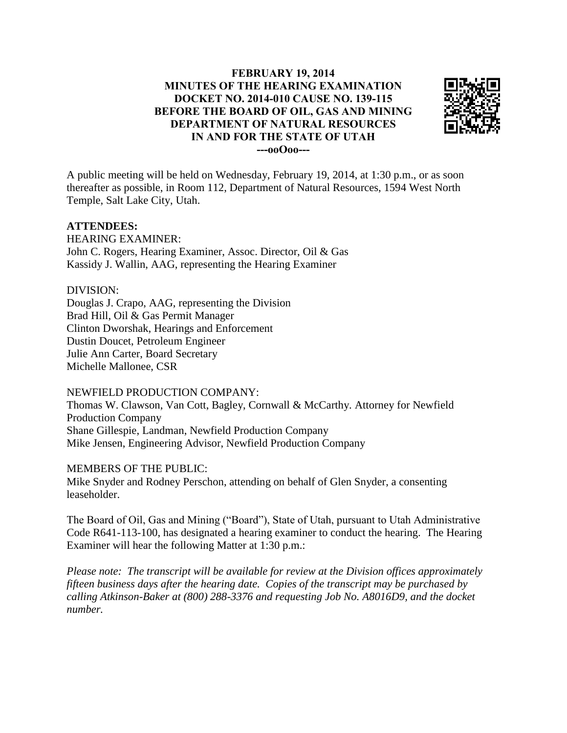# **FEBRUARY 19, 2014 MINUTES OF THE HEARING EXAMINATION DOCKET NO. 2014-010 CAUSE NO. 139-115 BEFORE THE BOARD OF OIL, GAS AND MINING DEPARTMENT OF NATURAL RESOURCES IN AND FOR THE STATE OF UTAH ---ooOoo---**



A public meeting will be held on Wednesday, February 19, 2014, at 1:30 p.m., or as soon thereafter as possible, in Room 112, Department of Natural Resources, 1594 West North Temple, Salt Lake City, Utah.

## **ATTENDEES:**

HEARING EXAMINER: John C. Rogers, Hearing Examiner, Assoc. Director, Oil & Gas Kassidy J. Wallin, AAG, representing the Hearing Examiner

### DIVISION:

Douglas J. Crapo, AAG, representing the Division Brad Hill, Oil & Gas Permit Manager Clinton Dworshak, Hearings and Enforcement Dustin Doucet, Petroleum Engineer Julie Ann Carter, Board Secretary Michelle Mallonee, CSR

## NEWFIELD PRODUCTION COMPANY:

Thomas W. Clawson, Van Cott, Bagley, Cornwall & McCarthy. Attorney for Newfield Production Company Shane Gillespie, Landman, Newfield Production Company Mike Jensen, Engineering Advisor, Newfield Production Company

#### MEMBERS OF THE PUBLIC:

Mike Snyder and Rodney Perschon, attending on behalf of Glen Snyder, a consenting leaseholder.

The Board of Oil, Gas and Mining ("Board"), State of Utah, pursuant to Utah Administrative Code R641-113-100, has designated a hearing examiner to conduct the hearing. The Hearing Examiner will hear the following Matter at 1:30 p.m.:

*Please note: The transcript will be available for review at the Division offices approximately fifteen business days after the hearing date. Copies of the transcript may be purchased by calling Atkinson-Baker at (800) 288-3376 and requesting Job No. A8016D9, and the docket number.*